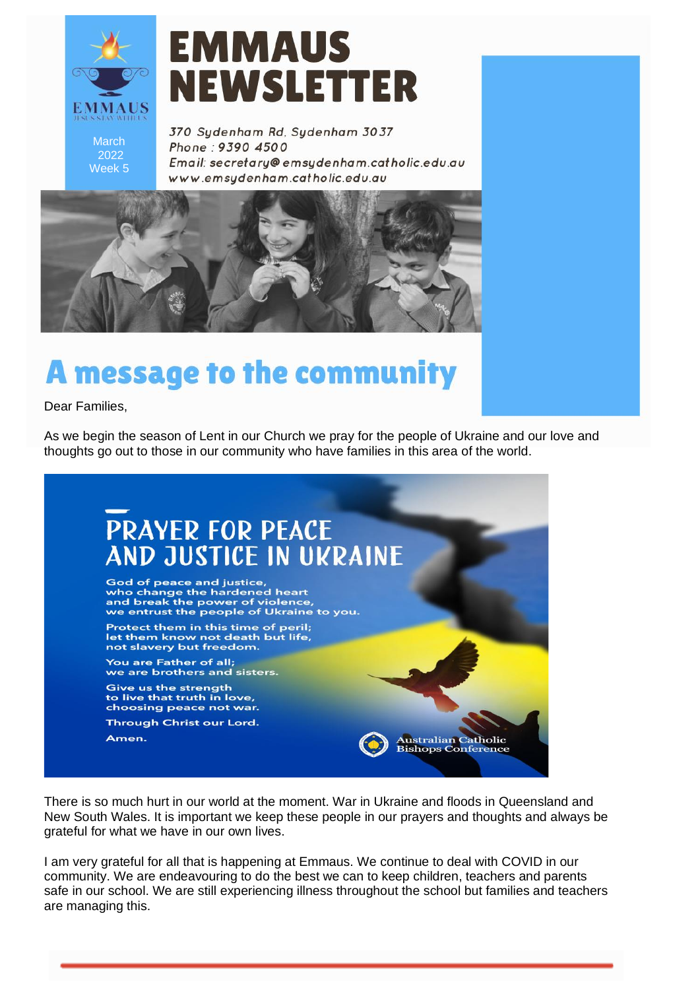

# **EMMAUS NEWSLETTER**

March 2022 Week 5

370 Sydenham Rd, Sydenham 3037 Phone: 9390 4500 Email: secretary@emsydenham.catholic.edu.au www.emsudenham.catholic.edu.au



## **A message to the community**

Dear Families,

As we begin the season of Lent in our Church we pray for the people of Ukraine and our love and thoughts go out to those in our community who have families in this area of the world.



There is so much hurt in our world at the moment. War in Ukraine and floods in Queensland and New South Wales. It is important we keep these people in our prayers and thoughts and always be grateful for what we have in our own lives.

I am very grateful for all that is happening at Emmaus. We continue to deal with COVID in our community. We are endeavouring to do the best we can to keep children, teachers and parents safe in our school. We are still experiencing illness throughout the school but families and teachers are managing this.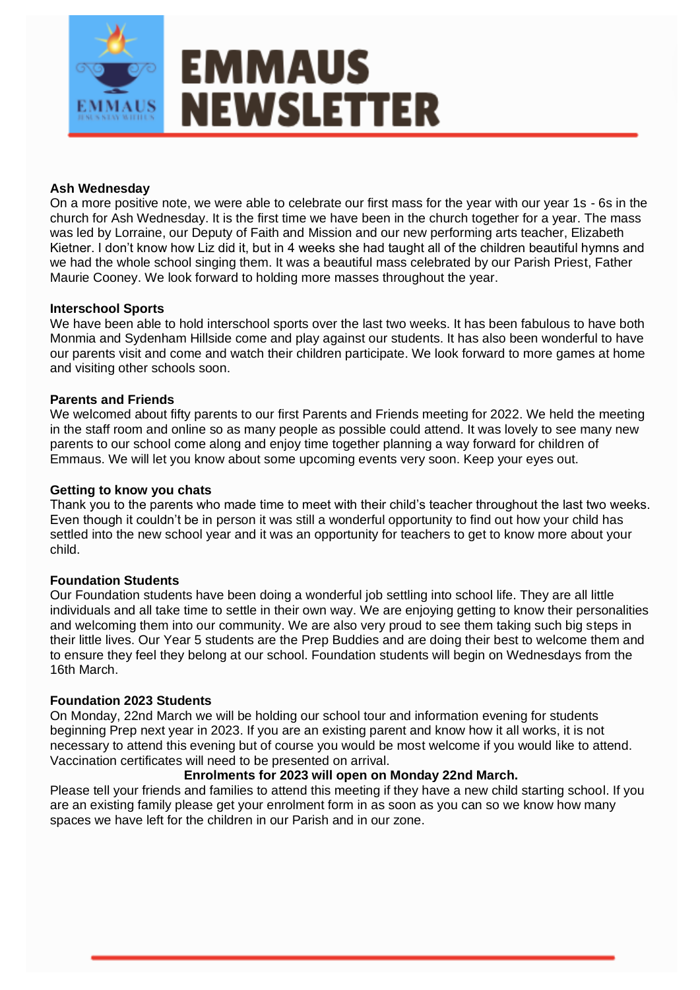

#### **Ash Wednesday**

On a more positive note, we were able to celebrate our first mass for the year with our year 1s - 6s in the church for Ash Wednesday. It is the first time we have been in the church together for a year. The mass was led by Lorraine, our Deputy of Faith and Mission and our new performing arts teacher, Elizabeth Kietner. I don't know how Liz did it, but in 4 weeks she had taught all of the children beautiful hymns and we had the whole school singing them. It was a beautiful mass celebrated by our Parish Priest, Father Maurie Cooney. We look forward to holding more masses throughout the year.

#### **Interschool Sports**

We have been able to hold interschool sports over the last two weeks. It has been fabulous to have both Monmia and Sydenham Hillside come and play against our students. It has also been wonderful to have our parents visit and come and watch their children participate. We look forward to more games at home and visiting other schools soon.

#### **Parents and Friends**

We welcomed about fifty parents to our first Parents and Friends meeting for 2022. We held the meeting in the staff room and online so as many people as possible could attend. It was lovely to see many new parents to our school come along and enjoy time together planning a way forward for children of Emmaus. We will let you know about some upcoming events very soon. Keep your eyes out.

#### **Getting to know you chats**

Thank you to the parents who made time to meet with their child's teacher throughout the last two weeks. Even though it couldn't be in person it was still a wonderful opportunity to find out how your child has settled into the new school year and it was an opportunity for teachers to get to know more about your child.

#### **Foundation Students**

Our Foundation students have been doing a wonderful job settling into school life. They are all little individuals and all take time to settle in their own way. We are enjoying getting to know their personalities and welcoming them into our community. We are also very proud to see them taking such big steps in their little lives. Our Year 5 students are the Prep Buddies and are doing their best to welcome them and to ensure they feel they belong at our school. Foundation students will begin on Wednesdays from the 16th March.

#### **Foundation 2023 Students**

On Monday, 22nd March we will be holding our school tour and information evening for students beginning Prep next year in 2023. If you are an existing parent and know how it all works, it is not necessary to attend this evening but of course you would be most welcome if you would like to attend. Vaccination certificates will need to be presented on arrival.

#### **Enrolments for 2023 will open on Monday 22nd March.**

Please tell your friends and families to attend this meeting if they have a new child starting school. If you are an existing family please get your enrolment form in as soon as you can so we know how many spaces we have left for the children in our Parish and in our zone.